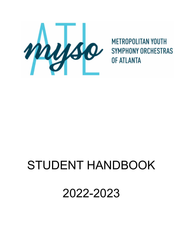

**METROPOLITAN YOUTH SYMPHONY ORCHESTRAS OF ATLANTA** 

# STUDENT HANDBOOK

2022-2023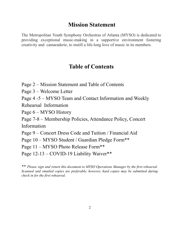# **Mission Statement**

The Metropolitan Youth Symphony Orchestras of Atlanta (MYSO) is dedicated to providing exceptional music-making in a supportive environment fostering creativity and camaraderie, to instill a life-long love of music in its members.

# **Table of Contents**

- Page 2 Mission Statement and Table of Contents
- Page 3 Welcome Letter
- Page 4 -5 MYSO Team and Contact Information and Weekly

Rehearsal Information

Page 6 – MYSO History

Page 7-8 – Membership Policies, Attendance Policy, Concert

Information

Page 9 – Concert Dress Code and Tuition / Financial Aid

Page 10 – MYSO Student / Guardian Pledge Form\*\*

Page 11 – MYSO Photo Release Form\*\*

Page 12-13 – COVID-19 Liability Waiver\*\*

\*\* *Please sign and return this document to MYSO Operations Manager by the first rehearsal. Scanned and emailed copies are preferable, however, hard copies may be submitted during check in for the first rehearsal.*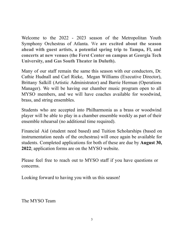Welcome to the 2022 - 2023 season of the Metropolitan Youth Symphony Orchestras of Atlanta. W**e are excited about the season ahead with guest artists, a potential spring trip to Tampa, Fl, and concerts at new venues (the Ferst Center on campus at Georgia Tech University, and Gas South Theater in Duluth).**

Many of our staff remain the same this season with our conductors, Dr. Cathie Hudnall and Carl Rieke, Megan Williams (Executive Director), Brittany Salkill (Artistic Administrator) and Barrie Herman (Operations Manager). We will be having our chamber music program open to all MYSO members, and we will have coaches available for woodwind, brass, and string ensembles.

Students who are accepted into Philharmonia as a brass or woodwind player will be able to play in a chamber ensemble weekly as part of their ensemble rehearsal (no additional time required).

Financial Aid (student need based) and Tuition Scholarships (based on instrumentation needs of the orchestras) will once again be available for students. Completed applications for both of these are due by **August 30, 2022**; application forms are on the MYSO website.

Please feel free to reach out to MYSO staff if you have questions or concerns.

Looking forward to having you with us this season!

The MYSO Team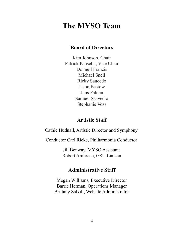# **The MYSO Team**

# **Board of Directors**

Kim Johnson, Chair Patrick Kinsella, Vice Chair Donnell Francis Michael Snell Ricky Saucedo Jason Bastow Luis Falcon Samuel Saavedra Stephanie Voss

## **Artistic Staff**

Cathie Hudnall, Artistic Director and Symphony

Conductor Carl Rieke, Philharmonia Conductor

Jill Benway, MYSO Assistant Robert Ambrose, GSU Liaison

# **Administrative Staff**

Megan Williams, Executive Director Barrie Herman, Operations Manager Brittany Salkill, Website Administrator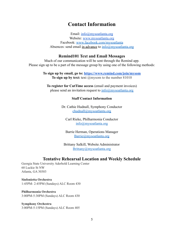# **Contact Information**

Email: [info@mysoatlanta.org](mailto:info@mysoatlanta.org) Website: [www.mysoatlanta.org](http://www.mysoatlanta.org) Facebook: www.facebook.com/mysoatlanta Absences: send email in advance to  $info@mysoatlanta.org$ 

#### **Remind101 Text and Email Messages**

Much of our communication will be sent through the Remind app. Please sign up to be a part of the message group by using one of the following methods:

> **To sign up by email, go to: <https://www.remind.com/join/mysom> To sign up by text:** text @mysom to the number 81010

**To register for CutTime access** (email and payment invoices) please send an invitation request to  $info@mysoatlanta.org$ 

#### **Staff Contact Information**

Dr. Cathie Hudnall, Symphony Conductor chudnall@mysoatlanta.org

Carl Rieke, Philharmonia Conductor info@mysoatlanta.org

Barrie Herman, Operations Manager Barrie@mysoatlanta.org

Brittany Salkill, Website Administrator Brittany@mysoatlanta.org

#### **Tentative Rehearsal Location and Weekly Schedule**

Georgia State University Aderhold Learning Center 60 Luckie St NW Atlanta, GA 30303

**Sinfonietta Orchestra** 1:45PM- 2:45PM (Sundays) ALC Room 430

**Philharmonia Orchestra** 3:00PM-5:30PM (Sundays) ALC Room 430

**Symphony Orchestra** 3:00PM-5:15PM (Sundays) ALC Room 405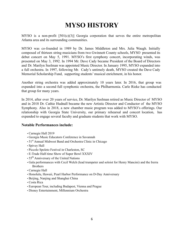# **MYSO HISTORY**

MYSO is a non-profit  $[501(c)(3)]$  Georgia corporation that serves the entire metropolitan Atlanta area and its surrounding communities.

MYSO was co-founded in 1989 by Dr. James Middleton and Mrs. Julia Waugh. Initially composed of thirteen string musicians from two Gwinnett County schools, MYSO presented its debut concert on May 5, 1991. MYSO's first symphony concert, incorporating winds, was presented on May 3, 1992. In 1994 Mr. Dave Cady became President of the Board of Directors and Dr. Marilyn Seelman was appointed Music Director. In January 1995, MYSO expanded into a full orchestra. In 1997, following Mr. Cady's untimely death, MYSO created the Dave Cady Memorial Scholarship Fund, supporting students' musical enrichment, in his honor.

Another string orchestra was added approximately 10 years later. In 2016, that group was expanded into a second full symphonic orchestra, the Philharmonia. Carle Rieke has conducted that group for many years.

In 2014, after over 20 years of service, Dr. Marilyn Seelman retired as Music Director of MYSO and in 2018 Dr. Cathie Hudnall became the new Artistic Director and Conductor of the MYSO Symphony. Also in 2018, a new chamber music program was added to MYSO's offerings. Our relationship with Georgia State University, our primary rehearsal and concert location, has expanded to engage several faculty and graduate students that work with MYSO.

#### **Notable Performances include:**

- Carnegie Hall 2019
- Georgia Music Educators Conference in Savannah
- 51<sup>st</sup> Annual Midwest Band and Orchestra Clinic in Chicago
- Spivey Hall
- Piccolo Spoleto Festival in Charleston, SC
- E-Trade Half-time Show of Super Bowl XXXIV
- 55<sup>th</sup> Anniversary of the United Nations
- Gala performances with Cecil Welch (lead trumpeter and soloist for Henry Mancini) and the Irerra **Brothers**
- Carnegie Hall
- Honolulu, Hawaii, Pearl Harbor Performance on D-Day Anniversary
- Beijing, Nanjing and Shanghai China
- Costa Rica
- European Tour, including Budapest, Vienna and Prague
- Disney Entertainment, Millennium Orchestra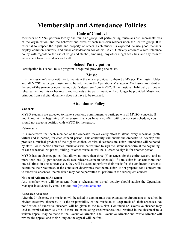# **Membership and Attendance Policies**

#### **Code of Conduct**

Members of MYSO perform locally and tour as a group. All participating musicians are representatives of the organization, and the behavior and dress of each musician reflects upon the entire group. It is essential to respect the rights and property of others. Each student is expected to use good manners, display common courtesy, and show consideration for others. MYSO strictly enforces a zero-tolerance policy with regards to the use of drugs and alcohol, smoking, any other illegal activities, and any form of harassment towards students and staff.

#### **School Participation**

Participation in a school music program is required, providing one exists.

#### **Music**

It is the musician's responsibility to maintain the music provided to them by MYSO. The music folder and all MYSO hardcopy music are to be returned to the Operations Manager or Orchestra Assistant at the end of the season or upon the musician's departure from MYSO. If the musician habitually arrives at rehearsal without his or her music and requests extra parts, music will no longer be provided. Music you print out from a digital document does not have to be returned.

### **Attendance Policy**

#### **Concerts**

MYSO students are expected to make a yearlong commitment to participate in all MYSO concerts. If you know at the beginning of the season that you have a conflict with our concert schedule, you should not accept a position with MYSO for the season.

#### **Rehearsals**

It is imperative that each member of the orchestra makes every effort to attend every rehearsal (both virtual and in-person) for each concert period. This continuity will enable the orchestra to develop and produce a musical product of the highest caliber. At virtual sessions, musician attendance will be noted by staff. For in-person activities, musicians will be required to sign the attendance form at the beginning of each rehearsal. No parent, sibling, or other musician will be allowed to sign in for another person.

MYSO has an absence policy that allows no more than three (6) absences for the entire season, and no more than one (2) per concert cycle (see rehearsal/concert schedule). If a musician is absent more than one (2) times in one concert cycle, they will be asked to perform their music for the conductor in order to determine their readiness. If the conductor determines that the musician is not prepared for a concert due to excessive absences, the musician may not be permitted to perform in the subsequent concert.

#### **Notice of Advanced Absence:**

Any member who will be absent from a rehearsal or virtual activity should advise the Operations Manager in advance by email sent to: info@mysoatlanta.org

#### **Excessive Absences:**

After the  $3<sup>rd</sup>$  absence, the musician will be asked to demonstrate that extenuating circumstances resulted in his/her excessive absences. It is the responsibility of the musician to keep track of their absences. No notification of excessive absences will be given to the musician. Continued or excessive absence may lead to dismissal from MYSO. If there are extenuating circumstances that resulted in the absenteeism, a written appeal may be made to the Executive Director. The Executive Director and Music Director will review the appeal, and their ruling on the appeal will be final.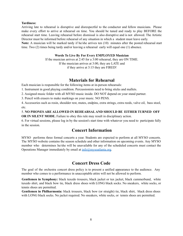#### **Tardiness:**

Arriving late to rehearsal is disruptive and disrespectful to the conductor and fellow musicians. Please make every effort to arrive at rehearsal on time. You should be tuned and ready to play BEFORE the rehearsal start time. Leaving rehearsal before dismissal is also disruptive and is not allowed. The Artistic Director must be informed before rehearsal of any situation in which a student must leave early.

**Note:** A musician will be marked tardy if he/she arrives ten (10) minutes after the posted rehearsal start time. Two (2) times being tardy and/or leaving a rehearsal early will equal one (1) absence.

#### **Words To Live By For Every EMPLOYED Musician**

If the musician arrives at 2:45 for a 3:00 rehearsal, they are ON TIME. If the musician arrives at 3:00, they are LATE and if they arrive at 3:15 they are FIRED!

#### **Materials for Rehearsal**

Each musician is responsible for the following items at in-person rehearsals:

1. Instrument in good playing condition. Percussionists need to bring sticks and mallets.

2. Assigned music folder with all MYSO music inside. DO NOT depend on your stand partner.

3. Pencil with erasers to make markings on your music. NO PENS.

4. Accessories such as rosin, shoulder rest, mutes, endpins, extra strings, extra reeds, valve oil, bass stool, etc.

5. **NO PHONES ARE ALLOWED IN REHEARSALAND SHOULD BE EITHER TURNED OFF OR IN SILENT MODE.** Failure to obey this rule may result in disciplinary action.

6. For virtual sessions, please log in by the session's start time with whatever you need to participate fully in the session.

### **Concert Information**

MYSO performs three formal concerts a year. Students are expected to perform at all MYSO concerts. The MYSO website contains the season schedule and other information on upcoming events. Any MYSO member who determines he/she will be unavailable for any of the scheduled concerts must contact the Operations Manager immediately by email at  $info@mvsoatlanta.org$ .

### **Concert Dress Code**

The goal of the orchestra concert dress policy is to present a unified appearance to the audience. Any member who comes to a performance in unacceptable attire will not be allowed to perform.

**Gentlemen in Symphony:** black tuxedo trousers, black jacket or tux jacket, black cummerbund, white tuxedo shirt, and black bow tie, black dress shoes with LONG black socks. No sneakers, white socks, or tennis shoes are permitted.

**Gentlemen in Philharmonia:** black trousers, black bow (or straight) tie, black shirt, black dress shoes with LONG black socks. No jacket required. No sneakers, white socks, or tennis shoes are permitted.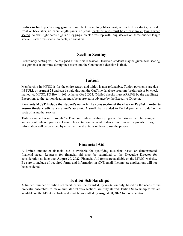**Ladies in both performing groups**: long black dress, long black skirt, or black dress slacks; no side, front or back slits, no capri length pants, no jeans. Pants or skirts must be at least ankle length when seated; no skin-tight pants, tights or leggings; black dress top with long sleeves or three-quarter length sleeve. Black dress shoes; no heels, no sneakers.

#### **Section Seating**

Preliminary seating will be assigned at the first rehearsal. However, students may be given new seating assignments at any time during the season and the Conductor's decision is final.

#### **Tuition**

Membership in MYSO is for the entire season and tuition is non-refundable. Tuition payments are due IN FULL by **August 28** and can be paid through the CutTime database program (preferred) or by check mailed to: MYSO, PO Box 14163, Atlanta, GA 30324. (Mailed checks must ARRIVE by the deadline.) Exceptions to the tuition deadline must be approved in advance by the Executive Director.

**Payments MUST include the student's name in the notes section of the check or PayPal in order to ensure timely credit to a student's account.** A small fee is added to PayPal payments to defray the costs of using that service.

Tuition can be tracked through CutTime, our online database program. Each student will be assigned an account where you can login, check tuition account balance and make payments. Login information will be provided by email with instructions on how to use the program.

#### **Financial Aid**

A limited amount of financial aid is available for qualifying musicians based on demonstrated financial need. Requests for financial aid must be submitted to the Executive Director for consideration no later than **August 30, 2022.** Financial Aid forms are available on the MYSO website. Be sure to include all required forms and information in ONE email. Incomplete applications will not be considered.

#### **Tuition Scholarships**

A limited number of tuition scholarships will be awarded, by invitation only, based on the needs of the orchestra ensembles to make sure all orchestra sections are fully staffed. Tuition Scholarship forms are available on the MYSO website and must be submitted by **August 30, 2022** for consideration.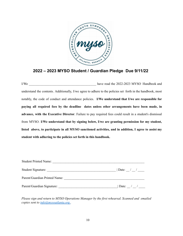

### **2022 – 2023 MYSO Student / Guardian Pledge Due 9/11/22**

I/We have read the 2022-2023 MYSO Handbook and understand the contents. Additionally, I/we agree to adhere to the policies set forth in the handbook, most notably, the code of conduct and attendance policies. **I/We understand that I/we are responsible for paying all required fees by the deadline dates unless other arrangements have been made, in advance, with the Executive Director**. Failure to pay required fees could result in a student's dismissal from MYSO. **I/We understand that by signing below, I/we are granting permission for my student, listed above, to participate in all MYSO sanctioned activities, and in addition, I agree to assist my student with adhering to the policies set forth in this handbook.**

| <b>Student Printed Name:</b>  |                                       |
|-------------------------------|---------------------------------------|
| Student Signature:            |                                       |
| Parent/Guardian Printed Name: |                                       |
| Parent/Guardian Signature:    | Date: $\frac{\ }{2}$ / $\frac{\ }{2}$ |

*Please sign and return to MYSO Operations Manager by the first rehearsal. Scanned and emailed copies sent to info@mysoatlanta.org .*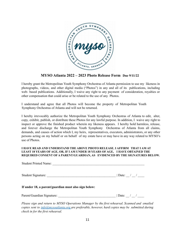

**MYSO Atlanta 2022 – 2023 Photo Release Form Due 9/11/22**

I hereby grant the Metropolitan Youth Symphony Orchestras of Atlanta permission to use my likeness in photographs, videos, and other digital media ("Photos") in any and all of its publications, including web- based publications. Additionally, I waive any right to any payment of consideration, royalties or other compensation that could arise or be related to the use of any Photos.

I understand and agree that all Photos will become the property of Metropolitan Youth Symphony Orchestras of Atlanta and will not be returned.

I hereby irrevocably authorize the Metropolitan Youth Symphony Orchestras of Atlanta to edit, alter, copy, exhibit, publish, or distribute these Photos for any lawful purpose. In addition, I waive any right to inspect or approve the finished product wherein my likeness appears. I hereby hold harmless, release, and forever discharge the Metropolitan Youth Symphony Orchestras of Atlanta from all claims, demands, and causes of action which I, my heirs, representatives, executors, administrators, or any other persons acting on my behalf or on behalf of my estate have or may have in any way related to MYSO's use of Photos.

#### **I HAVE READ AND UNDERSTAND THE ABOVE PHOTO RELEASE. I AFFIRM THAT I AM AT LEAST 18 YEARS OF AGE, OR, IF I AM UNDER 18 YEARS OF AGE, I HAVE OBTAINED THE REQUIRED CONSENT OF A PARENT/GUARDIAN, AS EVIDENCED BY THE SIGNATURES BELOW.**

| Student Printed Name:                                                                       |                                 |
|---------------------------------------------------------------------------------------------|---------------------------------|
|                                                                                             |                                 |
| If under 18, a parent/guardian must also sign below:                                        |                                 |
|                                                                                             | $\vert$ Date: $\vert$ / $\vert$ |
| Please sign and return to MYSO Operations Manager by the first rehearsal. Scanned and email |                                 |

*Please sign and return to MYSO Operations Manager by the first rehearsal. Scanned and emailed copies sent to info@mysoatlanta.org are preferable, however, hard copies may be submitted during check in for the first rehearsal.*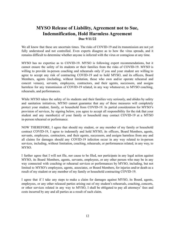### **MYSO Release of Liability, Agreement not to Sue, Indemnification, Hold Harmless Agreement Due 9/11/22**

We all know that these are uncertain times. The risks of COVID-19 and its transmission are not yet fully understood and not controlled. Even experts disagree as to how the virus spreads, and it remains difficult to determine whether anyone is infected with the virus or contagious at any time.

MYSO has no expertise as to COVID-19. MYSO is following expert recommendations, but it cannot ensure the safety of its students or their families from the risks of COVID-19. MYSO is willing to provide in-person coaching and rehearsals only if you and your student are willing to agree to accept any risk of contracting COVID-19 and to hold MYSO, and its officers, Board Members, agents (including, without limitation, those who own and/or operate rehearsal and concert venues), servants, employees, contractors, and their agents, successors, and assigns harmless for any transmission of COVID-19 related, in any way whatsoever, to MYSO coaching, rehearsals, and performances.

While MYSO takes the safety of its students and their families very seriously, and abides by safety and sanitation initiatives, MYSO cannot guarantee that any of these measures will completely protect your student, family, or household from COVID-19. In partial consideration for MYSO's provision of services, by signing below, you agree to accept all responsibility for the risk that your student and any member(s) of your family or household may contact COVID-19 at a MYSO in-person rehearsal or performance.

NOW THEREFORE, I agree that should my student, or any member of my family or household contract COVID-19, I agree to indemnify and hold MYSO, its officers, Board Members, agents, servants, employees, contractors, and their agents, successors, and assigns harmless from any and all claims for damages should any COVID-19 infection occur in any way related to in-person services, including, without limitation, coaching, rehearsals, or performances related, in any way, to MYSO.

I further agree that I will not file, nor cause to be filed, nor participate in any legal action against MYSO, its Board Members, agents, servants, employees, or any other person who may be in any way connected with coaching or rehearsal services or performances by MYSO, including, but not limited to MYSO's employees, agents, associates, or Board Members, for injuries and/or death as a result of my student or any member of my family or household contracting COVID-19.

I agree that if I take any steps to make a claim for damages against MYSO, its Board, agents, employees, or any other released parties arising out of my student's rehearsals, coaching, concerts, or other services related in any way to MYSO, I shall be obligated to pay all attorneys' fees and costs incurred by any and all parties as a result of such claim.